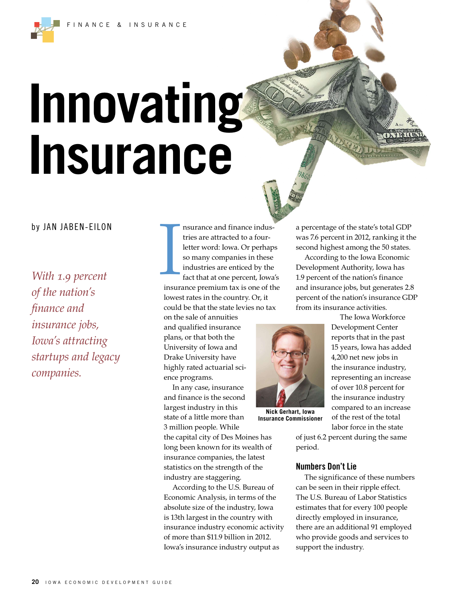INANCE & INSURANCE

# **Innovating Insurance**

# by JAN JABEN-EILON

*With 1.9 percent of the nation's fnance and insurance jobs, Iowa's attracting startups and legacy companies.*

nsurance and finance industries are attracted to a fourletter word: Iowa. Or perhaps so many companies in these industries are enticed by the fact that at one percent, Iowa's insurance premium tax is one of the lowest rates in the country. Or, it could be that the state levies no tax I

on the sale of annuities and qualified insurance plans, or that both the University of Iowa and Drake University have highly rated actuarial science programs.

In any case, insurance and finance is the second largest industry in this state of a little more than 3 million people. While

the capital city of Des Moines has long been known for its wealth of insurance companies, the latest statistics on the strength of the industry are staggering.

According to the U.S. Bureau of Economic Analysis, in terms of the absolute size of the industry, Iowa is 13th largest in the country with insurance industry economic activity of more than \$11.9 billion in 2012. Iowa's insurance industry output as

a percentage of the state's total GDP was 7.6 percent in 2012, ranking it the second highest among the 50 states.

According to the Iowa Economic Development Authority, Iowa has 1.9 percent of the nation's finance and insurance jobs, but generates 2.8 percent of the nation's insurance GDP from its insurance activities.



**Nick Gerhart, Iowa Insurance Commissioner**

The Iowa Workforce Development Center reports that in the past 15 years, Iowa has added 4,200 net new jobs in the insurance industry, representing an increase of over 10.8 percent for the insurance industry compared to an increase of the rest of the total labor force in the state

of just 6.2 percent during the same period.

### **Numbers Don't Lie**

The significance of these numbers can be seen in their ripple effect. The U.S. Bureau of Labor Statistics estimates that for every 100 people directly employed in insurance, there are an additional 91 employed who provide goods and services to support the industry.